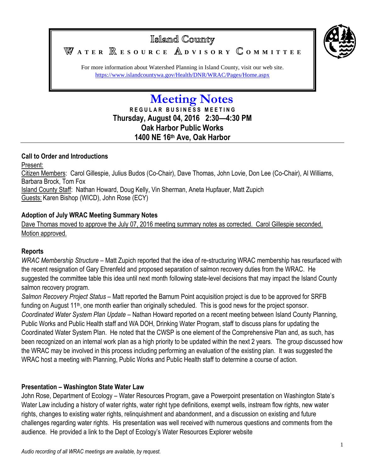

For more information about Watershed Planning in Island County, visit our web site. <https://www.islandcountywa.gov/Health/DNR/WRAC/Pages/Home.aspx>

# **Meeting Notes R E G U L A R B U S I N E S S M E E T I N G Thursday, August 04, 2016 2:30—4:30 PM Oak Harbor Public Works 1400 NE 16th Ave, Oak Harbor**

#### **Call to Order and Introductions**

Present: Citizen Members: Carol Gillespie, Julius Budos (Co-Chair), Dave Thomas, John Lovie, Don Lee (Co-Chair), Al Williams, Barbara Brock, Tom Fox Island County Staff: Nathan Howard, Doug Kelly, Vin Sherman, Aneta Hupfauer, Matt Zupich Guests: Karen Bishop (WICD), John Rose (ECY)

### **Adoption of July WRAC Meeting Summary Notes**

Dave Thomas moved to approve the July 07, 2016 meeting summary notes as corrected. Carol Gillespie seconded. Motion approved.

#### **Reports**

*WRAC Membership Structure* – Matt Zupich reported that the idea of re-structuring WRAC membership has resurfaced with the recent resignation of Gary Ehrenfeld and proposed separation of salmon recovery duties from the WRAC. He suggested the committee table this idea until next month following state-level decisions that may impact the Island County salmon recovery program.

*Salmon Recovery Project Status* – Matt reported the Barnum Point acquisition project is due to be approved for SRFB funding on August 11<sup>th</sup>, one month earlier than originally scheduled. This is good news for the project sponsor. *Coordinated Water System Plan Update* – Nathan Howard reported on a recent meeting between Island County Planning, Public Works and Public Health staff and WA DOH, Drinking Water Program, staff to discuss plans for updating the Coordinated Water System Plan. He noted that the CWSP is one element of the Comprehensive Plan and, as such, has been recognized on an internal work plan as a high priority to be updated within the next 2 years. The group discussed how the WRAC may be involved in this process including performing an evaluation of the existing plan. It was suggested the WRAC host a meeting with Planning, Public Works and Public Health staff to determine a course of action.

#### **Presentation – Washington State Water Law**

John Rose, Department of Ecology – Water Resources Program, gave a Powerpoint presentation on Washington State's Water Law including a history of water rights, water right type definitions, exempt wells, instream flow rights, new water rights, changes to existing water rights, relinquishment and abandonment, and a discussion on existing and future challenges regarding water rights. His presentation was well received with numerous questions and comments from the audience. He provided a link to the Dept of Ecology's Water Resources Explorer website